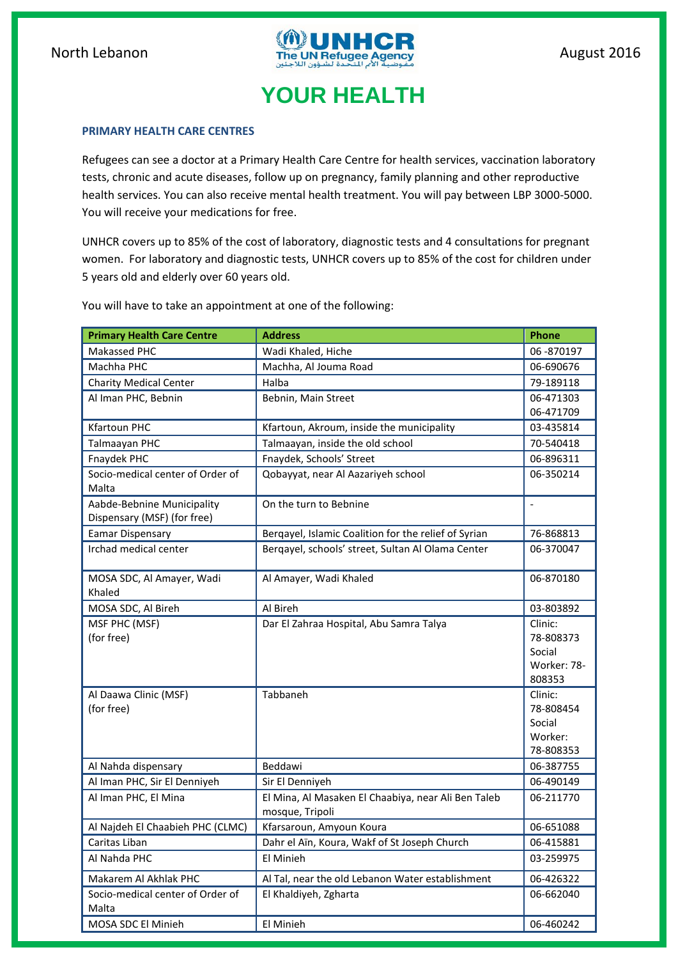

## **YOUR HEALTH**

## **PRIMARY HEALTH CARE CENTRES**

Refugees can see a doctor at a Primary Health Care Centre for health services, vaccination laboratory tests, chronic and acute diseases, follow up on pregnancy, family planning and other reproductive health services. You can also receive mental health treatment. You will pay between LBP 3000-5000. You will receive your medications for free.

UNHCR covers up to 85% of the cost of laboratory, diagnostic tests and 4 consultations for pregnant women. For laboratory and diagnostic tests, UNHCR covers up to 85% of the cost for children under 5 years old and elderly over 60 years old.

You will have to take an appointment at one of the following:

| <b>Primary Health Care Centre</b> | <b>Address</b>                                                         | Phone                  |
|-----------------------------------|------------------------------------------------------------------------|------------------------|
| Makassed PHC                      | Wadi Khaled, Hiche                                                     | 06-870197              |
| Machha PHC                        | Machha, Al Jouma Road                                                  | 06-690676              |
| <b>Charity Medical Center</b>     | Halba                                                                  | 79-189118              |
| Al Iman PHC, Bebnin               | Bebnin, Main Street                                                    | 06-471303              |
|                                   |                                                                        | 06-471709              |
| <b>Kfartoun PHC</b>               | Kfartoun, Akroum, inside the municipality                              | 03-435814              |
| Talmaayan PHC                     | Talmaayan, inside the old school                                       | 70-540418              |
| Fnaydek PHC                       | Fnaydek, Schools' Street                                               | 06-896311              |
| Socio-medical center of Order of  | Qobayyat, near Al Aazariyeh school                                     | 06-350214              |
| Malta                             |                                                                        |                        |
| Aabde-Bebnine Municipality        | On the turn to Bebnine                                                 | $\overline{a}$         |
| Dispensary (MSF) (for free)       |                                                                        |                        |
| <b>Eamar Dispensary</b>           | Bergayel, Islamic Coalition for the relief of Syrian                   | 76-868813              |
| Irchad medical center             | Bergayel, schools' street, Sultan Al Olama Center                      | 06-370047              |
|                                   |                                                                        |                        |
| MOSA SDC, Al Amayer, Wadi         | Al Amayer, Wadi Khaled                                                 | 06-870180              |
| Khaled                            |                                                                        |                        |
| MOSA SDC, Al Bireh                | Al Bireh                                                               | 03-803892              |
| MSF PHC (MSF)                     | Dar El Zahraa Hospital, Abu Samra Talya                                | Clinic:                |
| (for free)                        |                                                                        | 78-808373              |
|                                   |                                                                        | Social                 |
|                                   |                                                                        | Worker: 78-            |
|                                   |                                                                        | 808353                 |
| Al Daawa Clinic (MSF)             | Tabbaneh                                                               | Clinic:                |
| (for free)                        |                                                                        | 78-808454              |
|                                   |                                                                        | Social                 |
|                                   |                                                                        | Worker:                |
|                                   | Beddawi                                                                | 78-808353<br>06-387755 |
| Al Nahda dispensary               |                                                                        | 06-490149              |
| Al Iman PHC, Sir El Denniyeh      | Sir El Denniyeh                                                        |                        |
| Al Iman PHC, El Mina              | El Mina, Al Masaken El Chaabiya, near Ali Ben Taleb<br>mosque, Tripoli | 06-211770              |
| Al Najdeh El Chaabieh PHC (CLMC)  | Kfarsaroun, Amyoun Koura                                               | 06-651088              |
| Caritas Liban                     | Dahr el Aïn, Koura, Wakf of St Joseph Church                           | 06-415881              |
| Al Nahda PHC                      | El Minieh                                                              | 03-259975              |
| Makarem Al Akhlak PHC             | Al Tal, near the old Lebanon Water establishment                       | 06-426322              |
| Socio-medical center of Order of  | El Khaldiyeh, Zgharta                                                  | 06-662040              |
| Malta                             |                                                                        |                        |
| MOSA SDC El Minieh                | El Minieh                                                              | 06-460242              |